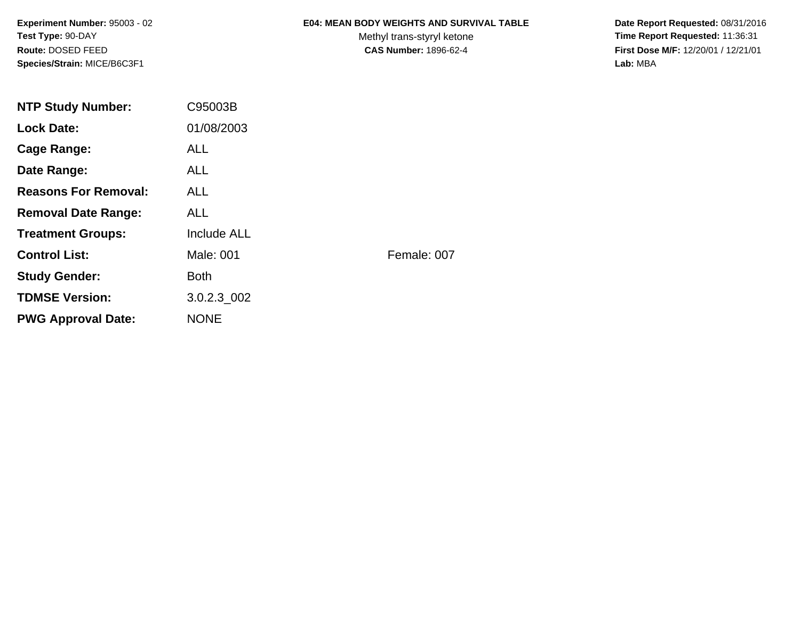**Experiment Number:** 95003 - 02**Test Type:** 90-DAY**Route:** DOSED FEED**Species/Strain:** MICE/B6C3F1

#### **E04: MEAN BODY WEIGHTS AND SURVIVAL TABLE**

Methyl trans-styryl ketone<br>CAS Number: 1896-62-4

 **Date Report Requested:** 08/31/2016 **Time Report Requested:** 11:36:31 **First Dose M/F:** 12/20/01 / 12/21/01<br>Lab: MBA **Lab:** MBA

| <b>NTP Study Number:</b>    | C95003B            |             |
|-----------------------------|--------------------|-------------|
| <b>Lock Date:</b>           | 01/08/2003         |             |
| Cage Range:                 | <b>ALL</b>         |             |
| Date Range:                 | ALL.               |             |
| <b>Reasons For Removal:</b> | <b>ALL</b>         |             |
| <b>Removal Date Range:</b>  | <b>ALL</b>         |             |
| <b>Treatment Groups:</b>    | <b>Include ALL</b> |             |
| <b>Control List:</b>        | Male: 001          | Female: 007 |
| <b>Study Gender:</b>        | <b>Both</b>        |             |
| <b>TDMSE Version:</b>       | 3.0.2.3_002        |             |
| <b>PWG Approval Date:</b>   | <b>NONE</b>        |             |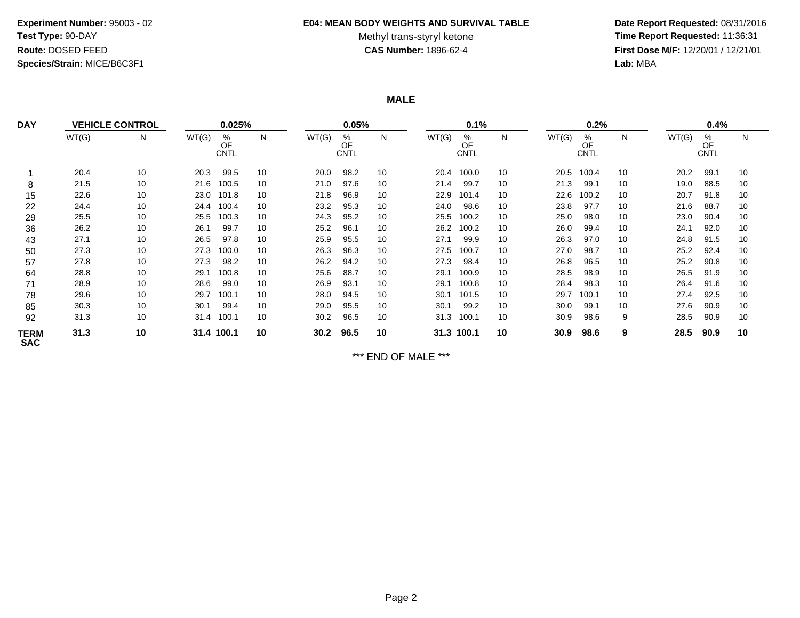## **Experiment Number:** 95003 - 02**Test Type:** 90-DAY**Route:** DOSED FEED**Species/Strain:** MICE/B6C3F1

#### **E04: MEAN BODY WEIGHTS AND SURVIVAL TABLE**

# Methyl trans-styryl ketone<br>CAS Number: 1896-62-4

 **Date Report Requested:** 08/31/2016 **Time Report Requested:** 11:36:31 **First Dose M/F:** 12/20/01 / 12/21/01<br>Lab: MBA **Lab:** MBA

**MALE**

| <b>DAY</b>                |       | <b>VEHICLE CONTROL</b> |       | 0.025%                 |    |       | 0.05%                  |    |       | 0.1%                   |    |       | 0.2%                   |    |       | 0.4%                   |    |  |
|---------------------------|-------|------------------------|-------|------------------------|----|-------|------------------------|----|-------|------------------------|----|-------|------------------------|----|-------|------------------------|----|--|
|                           | WT(G) | N                      | WT(G) | %<br>OF<br><b>CNTL</b> | N  | WT(G) | %<br>OF<br><b>CNTL</b> | N  | WT(G) | %<br>OF<br><b>CNTL</b> | N  | WT(G) | %<br>OF<br><b>CNTL</b> | N  | WT(G) | %<br>OF<br><b>CNTL</b> | N  |  |
|                           | 20.4  | 10                     | 20.3  | 99.5                   | 10 | 20.0  | 98.2                   | 10 | 20.4  | 100.0                  | 10 | 20.5  | 100.4                  | 10 | 20.2  | 99.1                   | 10 |  |
| 8                         | 21.5  | 10                     | 21.6  | 100.5                  | 10 | 21.0  | 97.6                   | 10 | 21.4  | 99.7                   | 10 | 21.3  | 99.1                   | 10 | 19.0  | 88.5                   | 10 |  |
| 15                        | 22.6  | 10                     | 23.0  | 101.8                  | 10 | 21.8  | 96.9                   | 10 | 22.9  | 101.4                  | 10 | 22.6  | 100.2                  | 10 | 20.7  | 91.8                   | 10 |  |
| 22                        | 24.4  | 10                     | 24.4  | 100.4                  | 10 | 23.2  | 95.3                   | 10 | 24.0  | 98.6                   | 10 | 23.8  | 97.7                   | 10 | 21.6  | 88.7                   | 10 |  |
| 29                        | 25.5  | 10                     | 25.5  | 100.3                  | 10 | 24.3  | 95.2                   | 10 | 25.5  | 100.2                  | 10 | 25.0  | 98.0                   | 10 | 23.0  | 90.4                   | 10 |  |
| 36                        | 26.2  | 10                     | 26.1  | 99.7                   | 10 | 25.2  | 96.1                   | 10 | 26.2  | 100.2                  | 10 | 26.0  | 99.4                   | 10 | 24.1  | 92.0                   | 10 |  |
| 43                        | 27.1  | 10                     | 26.5  | 97.8                   | 10 | 25.9  | 95.5                   | 10 | 27.1  | 99.9                   | 10 | 26.3  | 97.0                   | 10 | 24.8  | 91.5                   | 10 |  |
| 50                        | 27.3  | 10                     | 27.3  | 100.0                  | 10 | 26.3  | 96.3                   | 10 | 27.5  | 100.7                  | 10 | 27.0  | 98.7                   | 10 | 25.2  | 92.4                   | 10 |  |
| 57                        | 27.8  | 10                     | 27.3  | 98.2                   | 10 | 26.2  | 94.2                   | 10 | 27.3  | 98.4                   | 10 | 26.8  | 96.5                   | 10 | 25.2  | 90.8                   | 10 |  |
| 64                        | 28.8  | 10                     | 29.1  | 100.8                  | 10 | 25.6  | 88.7                   | 10 | 29.1  | 100.9                  | 10 | 28.5  | 98.9                   | 10 | 26.5  | 91.9                   | 10 |  |
| 71                        | 28.9  | 10                     | 28.6  | 99.0                   | 10 | 26.9  | 93.1                   | 10 | 29.1  | 100.8                  | 10 | 28.4  | 98.3                   | 10 | 26.4  | 91.6                   | 10 |  |
| 78                        | 29.6  | 10                     | 29.7  | 100.1                  | 10 | 28.0  | 94.5                   | 10 | 30.1  | 101.5                  | 10 | 29.7  | 100.1                  | 10 | 27.4  | 92.5                   | 10 |  |
| 85                        | 30.3  | 10                     | 30.1  | 99.4                   | 10 | 29.0  | 95.5                   | 10 | 30.1  | 99.2                   | 10 | 30.0  | 99.1                   | 10 | 27.6  | 90.9                   | 10 |  |
| 92                        | 31.3  | 10                     | 31.4  | 100.1                  | 10 | 30.2  | 96.5                   | 10 | 31.3  | 100.1                  | 10 | 30.9  | 98.6                   | 9  | 28.5  | 90.9                   | 10 |  |
| <b>TERM</b><br><b>SAC</b> | 31.3  | 10                     |       | 31.4 100.1             | 10 | 30.2  | 96.5                   | 10 |       | 31.3 100.1             | 10 | 30.9  | 98.6                   | 9  | 28.5  | 90.9                   | 10 |  |

\*\*\* END OF MALE \*\*\*